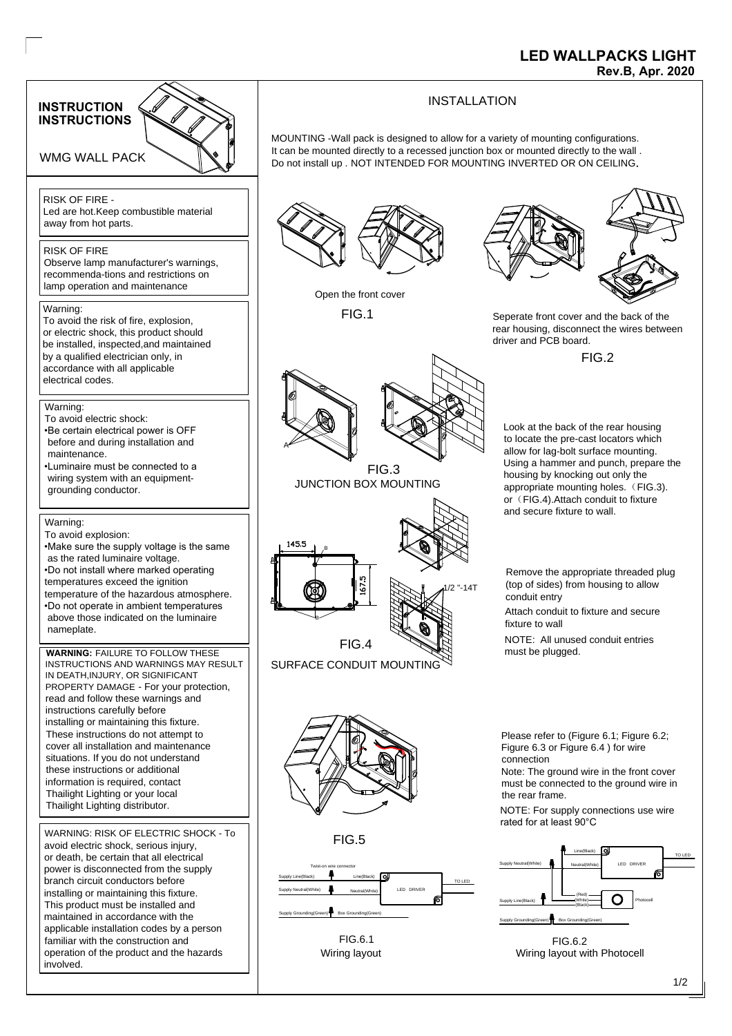

## **LED WALLPACKS LIGHT**